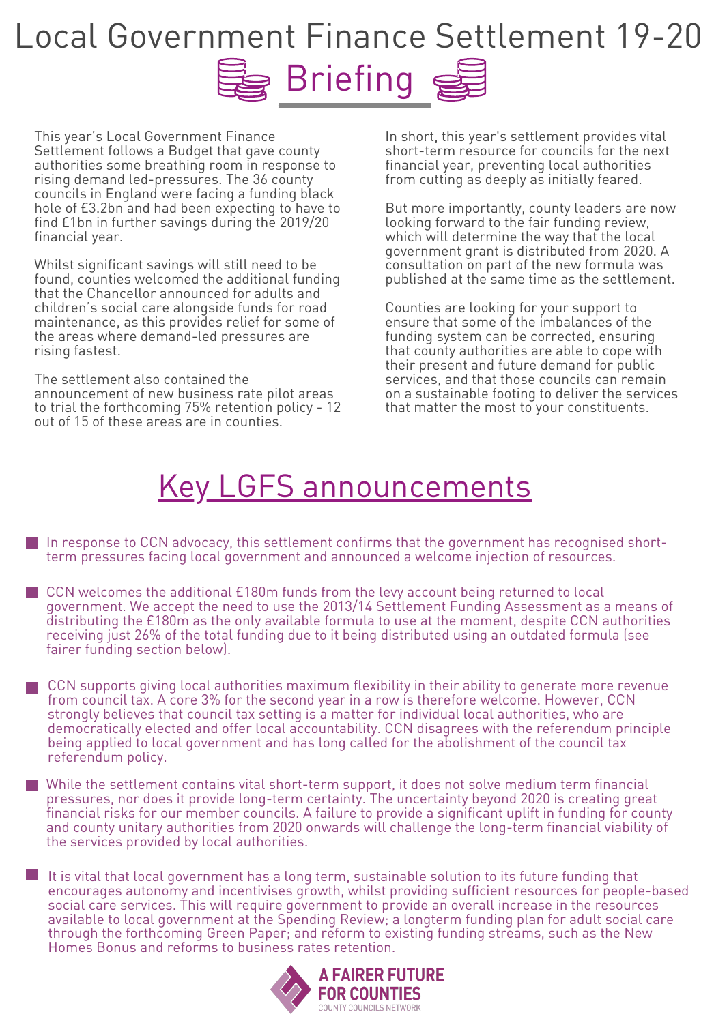This year ' s Local Government Finance Settlement follows a Budget that gave county authorities some breathing room in response to rising demand led-pressures. The 36 county councils in England were facing a funding black hole of £3.2bn and had been expecting to have to find £1bn in further savings during the 2019/20 financial year.

Whilst significant savings will still need to be found, counties welcomed the additional funding that the Chancellor announced for adults and children ' s social care alongside funds for road maintenance, as this provides relief for some of the areas where demand-led pressures are rising fastest. The settlement also contained the announcement of new business rate pilot areas to trial the forthcoming 75% retention policy - 12 out of 15 of these areas are in counties.

## Briefing S Local Government Finance Settlement 19-20

In short, this year ' s settlement provides vital short-term resource for councils for the next financial year, preventing local authorities from cutting as deeply as initially feared.

But more importantly, county leaders are now looking forward to the fair funding review, which will determine the way that the local government grant is distributed from 2020. A consultation on part of the new formula was published at the same time as the settlement.

Counties are looking for your support to ensure that some of the imbalances of the funding system can be corrected, ensuring that county authorities are able to cope with their present and future demand for public services, and that those councils can remain on a sustainable footing to deliver the services that matter the most to your constituents.

In response to CCN advocacy, this settlement confirms that the government has recognised shortterm pressures facing local government and announced a welcome injection of resources.

- strongly believes that council tax setting is a matter for individual local authorities, who are democratically elected and offer local accountability. CCN disagrees with the referendum principle being applied to local government and has long called for the abolishment of the council tax referendum policy.
- While the settlement contains vital short-term support, it does not solve medium term financial pressures, nor does it provide long-term certainty. The uncertainty beyond 2020 is creating great financial risks for our member councils. A failure to provide a significant uplift in funding for county and county unitary authorities from 2020 onwards will challenge the long-term financial viability of the services provided by local authorities.
- It is vital that local government has a long term, sustainable solution to its future funding that encourages autonomy and incentivises growth, whilst providing sufficient resources for people-based social care services. This will require government to provide an overall increase in the resources available to local government at the Spending Review; a longterm funding plan for adult social care through the forthcoming Green Paper; and reform to existing funding streams, such as the New Homes Bonus and reforms to business rates retention.



CCN welcomes the additional £180m funds from the levy account being returned to local government. We accept the need to use the 2013/14 Settlement Funding Assessment as a means of distributing the £180m as the only available formula to use at the moment, despite CCN authorities receiving just 26% of the total funding due to it being distributed using an outdated formula (see fairer funding section below).

CCN supports giving local authorities maximum flexibility in their ability to generate more revenue from council tax. A core 3% for the second year in a row is therefore welcome. However, CCN